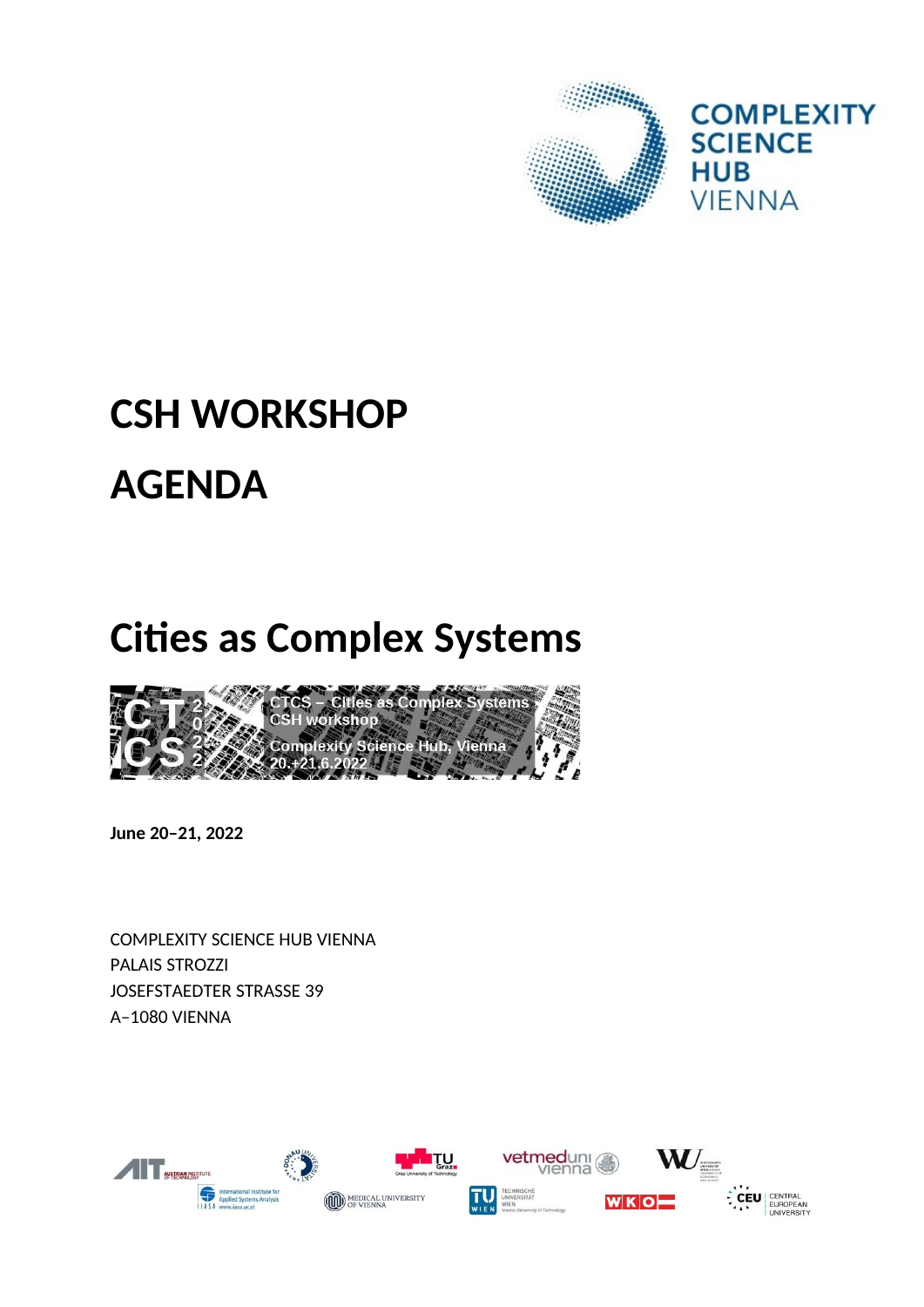

# **CSH WORKSHOP AGENDA**

## **Cities as Complex Systems**



June 20-21, 2022

**COMPLEXITY SCIENCE HUB VIENNA PALAIS STROZZI JOSEFSTAEDTER STRASSE 39** A-1080 VIENNA

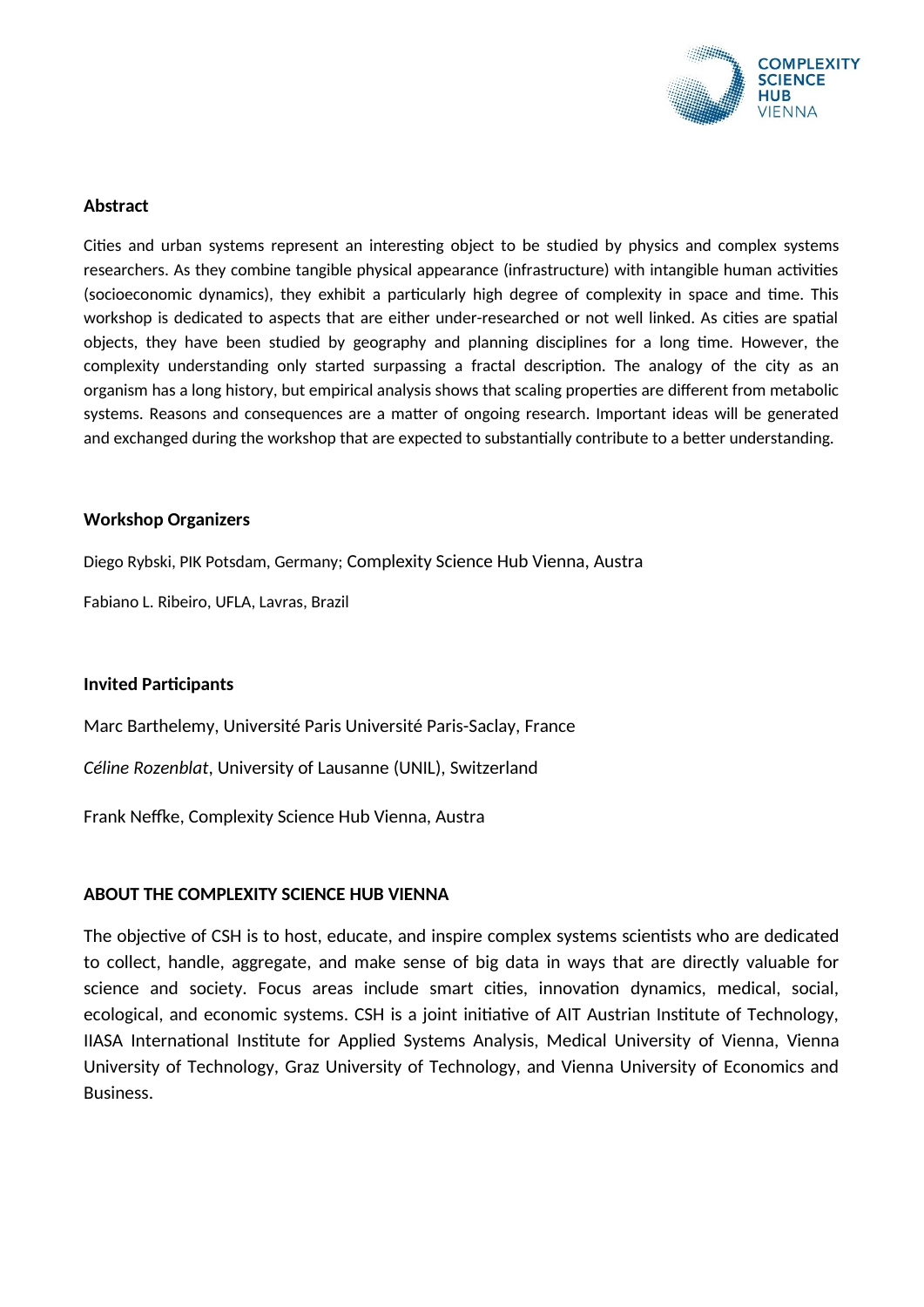

#### **Abstract**

Cities and urban systems represent an interesting object to be studied by physics and complex systems researchers. As they combine tangible physical appearance (infrastructure) with intangible human activities (socioeconomic dynamics), they exhibit a particularly high degree of complexity in space and time. This workshop is dedicated to aspects that are either under-researched or not well linked. As cities are spatial objects, they have been studied by geography and planning disciplines for a long time. However, the complexity understanding only started surpassing a fractal description. The analogy of the city as an organism has a long history, but empirical analysis shows that scaling properties are different from metabolic systems. Reasons and consequences are a matter of ongoing research. Important ideas will be generated and exchanged during the workshop that are expected to substantially contribute to a better understanding.

#### **Workshop Organizers**

Diego Rybski, PIK Potsdam, Germany; Complexity Science Hub Vienna, Austra

Fabiano L. Ribeiro, UFLA, Lavras, Brazil

#### **Invited Participants**

Marc Barthelemy, Université Paris Université Paris-Saclay, France

*Céline Rozenblat*, University of Lausanne (UNIL), Switzerland

Frank Neffke, Complexity Science Hub Vienna, Austra

#### **ABOUT THE COMPLEXITY SCIENCE HUB VIENNA**

The objective of CSH is to host, educate, and inspire complex systems scientists who are dedicated to collect, handle, aggregate, and make sense of big data in ways that are directly valuable for science and society. Focus areas include smart cities, innovation dynamics, medical, social, ecological, and economic systems. CSH is a joint initiative of AIT Austrian Institute of Technology, IIASA International Institute for Applied Systems Analysis, Medical University of Vienna, Vienna University of Technology, Graz University of Technology, and Vienna University of Economics and Business.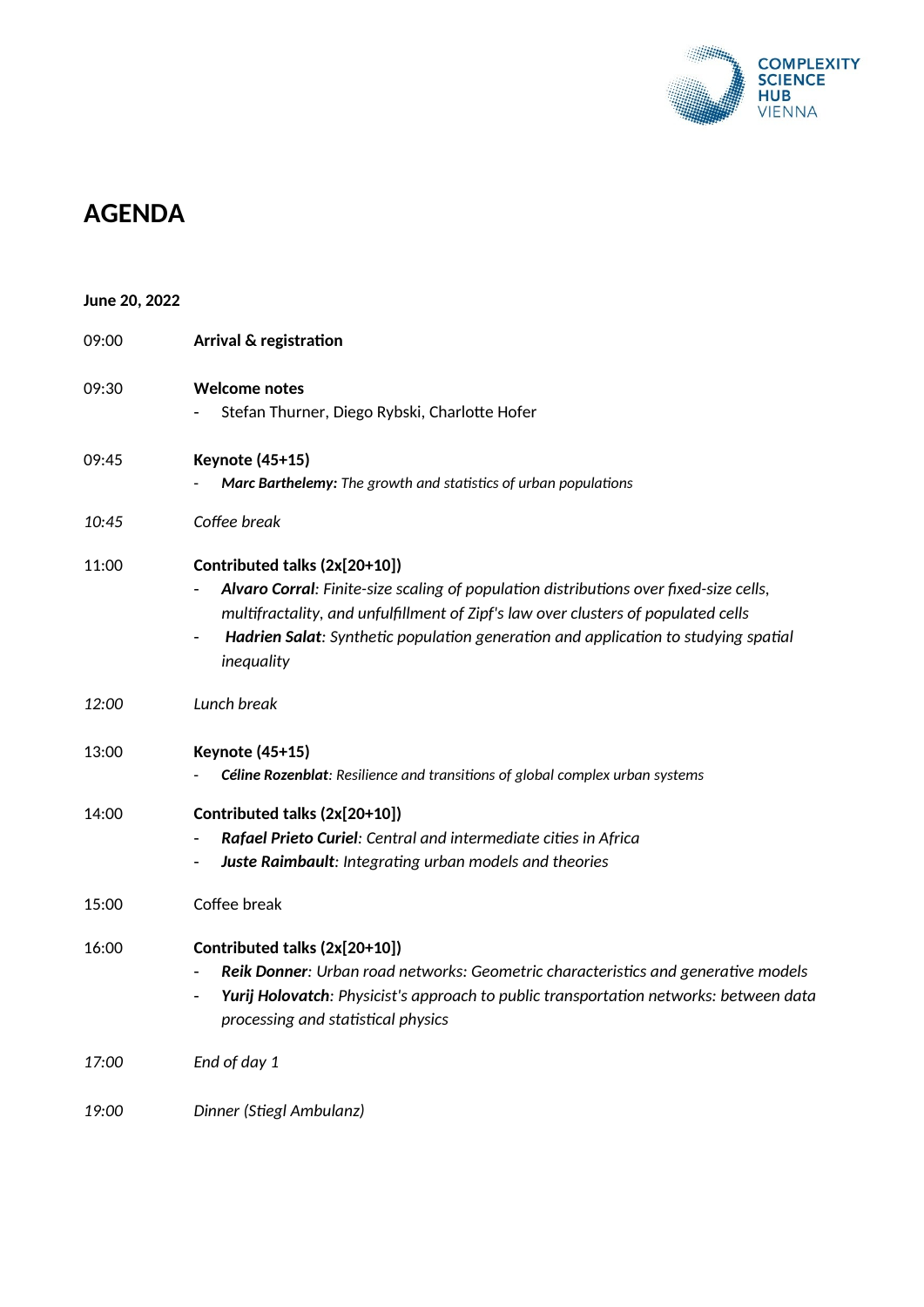

### **AGENDA**

| June 20, 2022 |                                                                                                                                                                                                                                                                                                                                   |
|---------------|-----------------------------------------------------------------------------------------------------------------------------------------------------------------------------------------------------------------------------------------------------------------------------------------------------------------------------------|
| 09:00         | Arrival & registration                                                                                                                                                                                                                                                                                                            |
| 09:30         | <b>Welcome notes</b><br>Stefan Thurner, Diego Rybski, Charlotte Hofer                                                                                                                                                                                                                                                             |
| 09:45         | <b>Keynote (45+15)</b><br>Marc Barthelemy: The growth and statistics of urban populations                                                                                                                                                                                                                                         |
| 10:45         | Coffee break                                                                                                                                                                                                                                                                                                                      |
| 11:00         | Contributed talks (2x[20+10])<br>Alvaro Corral: Finite-size scaling of population distributions over fixed-size cells,<br>multifractality, and unfulfillment of Zipf's law over clusters of populated cells<br>Hadrien Salat: Synthetic population generation and application to studying spatial<br>$\blacksquare$<br>inequality |
| 12:00         | Lunch break                                                                                                                                                                                                                                                                                                                       |
| 13:00         | <b>Keynote (45+15)</b><br>Céline Rozenblat: Resilience and transitions of global complex urban systems                                                                                                                                                                                                                            |
| 14:00         | Contributed talks (2x[20+10])<br>Rafael Prieto Curiel: Central and intermediate cities in Africa<br>Juste Raimbault: Integrating urban models and theories<br>$\blacksquare$                                                                                                                                                      |
| 15:00         | Coffee break                                                                                                                                                                                                                                                                                                                      |
| 16:00         | Contributed talks (2x[20+10])<br>Reik Donner: Urban road networks: Geometric characteristics and generative models<br>$\qquad \qquad \blacksquare$<br>Yurij Holovatch: Physicist's approach to public transportation networks: between data<br>processing and statistical physics                                                 |
| 17:00         | End of day 1                                                                                                                                                                                                                                                                                                                      |
| 19:00         | Dinner (Stiegl Ambulanz)                                                                                                                                                                                                                                                                                                          |